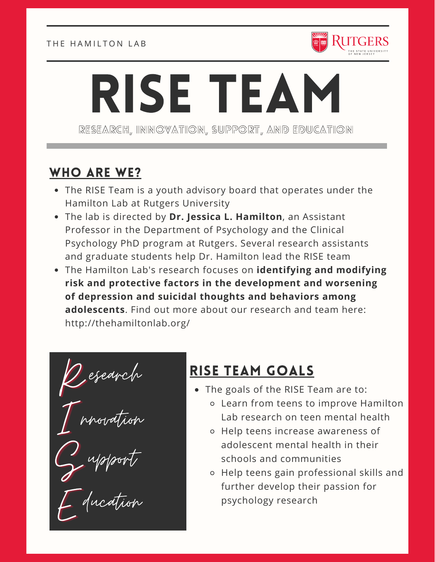

# RISE TEAM RESEARCH, INNOVATION, SUPPORT, AND EDUCATION

## WHO ARE WE?

- The RISE Team is a youth advisory board that operates under the Hamilton Lab at Rutgers University
- The lab is directed by **Dr. Jessica L. Hamilton**, an Assistant Professor in the Department of Psychology and the Clinical Psychology PhD program at Rutgers. Several research assistants and graduate students help Dr. Hamilton lead the RISE team
- The Hamilton Lab's research focuses on **identifying and modifying risk and protective factors in the development and worsening of depression and suicidal thoughts and behaviors among adolescents**. Find out more about our research and team here: http://thehamiltonlab.org/

 $Q$ e I<br>I esearch nnovation

S upport

E ducation

## RISE TEAM GOALS

- The goals of the RISE Team are to:
	- Learn from teens to improve Hamilton Lab research on teen mental health
	- o Help teens increase awareness of adolescent mental health in their schools and communities
	- Help teens gain professional skills and further develop their passion for psychology research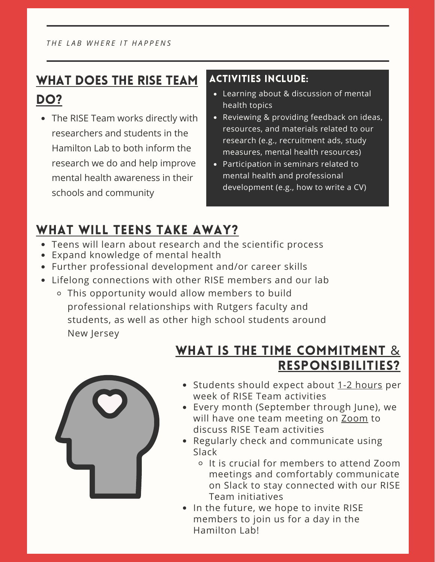## WHAT DOES THE RISE TEAM DO?

• The RISE Team works directly with researchers and students in the Hamilton Lab to both inform the research we do and help improve mental health awareness in their schools and community

#### ACTIVITIES INCLUDE:

- Learning about & discussion of mental health topics
- Reviewing & providing feedback on ideas, resources, and materials related to our research (e.g., recruitment ads, study measures, mental health resources)
- Participation in seminars related to mental health and professional development (e.g., how to write a CV)

## WHAT WILL TEENS TAKE AWAY?

- Teens will learn about research and the scientific process
- Expand knowledge of mental health
- Further professional development and/or career skills
- Lifelong connections with other RISE members and our lab
	- This opportunity would allow members to build professional relationships with Rutgers faculty and students, as well as other high school students around New Jersey

## WHAT IS THE TIME COMMITMENT & RESPONSIBILITIES?



- Students should expect about 1-2 hours per week of RISE Team activities
- Every month (September through June), we will have one team meeting on Zoom to discuss RISE Team activities
- Regularly check and communicate using Slack
	- It is crucial for members to attend Zoom meetings and comfortably communicate on Slack to stay connected with our RISE Team initiatives
- In the future, we hope to invite RISE members to join us for a day in the Hamilton Lab!